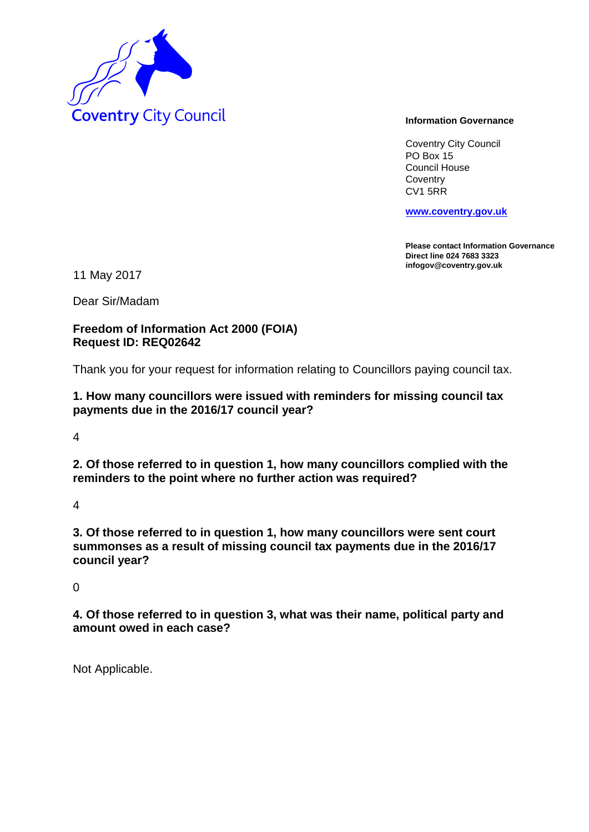

Coventry City Council PO Box 15 Council House **Coventry** CV1 5RR

**www.coventry.gov.uk**

**Please contact Information Governance Direct line 024 7683 3323 infogov@coventry.gov.uk** 

11 May 2017

Dear Sir/Madam

## **Freedom of Information Act 2000 (FOIA) Request ID: REQ02642**

Thank you for your request for information relating to Councillors paying council tax.

## **1. How many councillors were issued with reminders for missing council tax payments due in the 2016/17 council year?**

4

**2. Of those referred to in question 1, how many councillors complied with the reminders to the point where no further action was required?**

4

**3. Of those referred to in question 1, how many councillors were sent court summonses as a result of missing council tax payments due in the 2016/17 council year?**

 $\Omega$ 

**4. Of those referred to in question 3, what was their name, political party and amount owed in each case?**

Not Applicable.